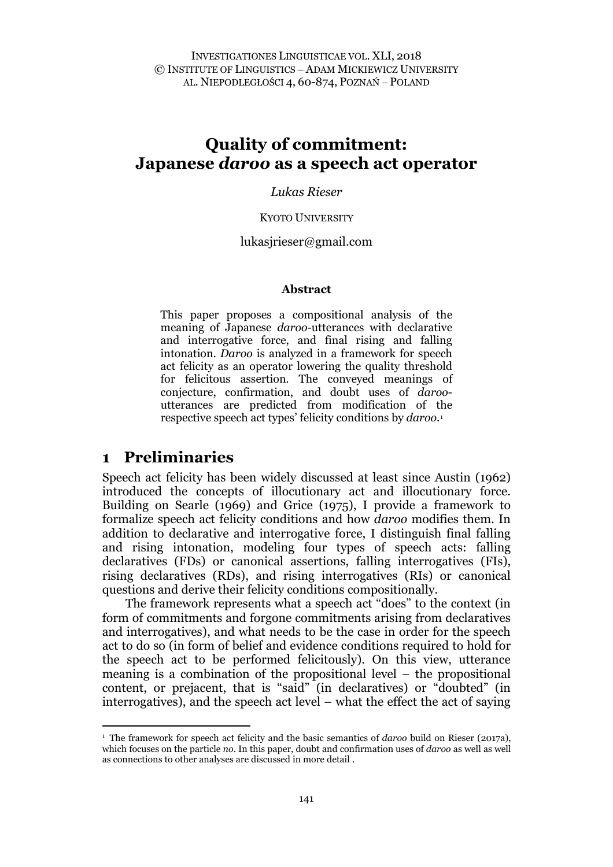# **Quality of commitment: Japanese** *daroo* **as a speech act operator**

*Lukas Rieser*

#### KYOTO UNIVERSITY

#### lukasjrieser@gmail.com

#### **Abstract**

This paper proposes a compositional analysis of the meaning of Japanese *daroo*-utterances with declarative and interrogative force, and final rising and falling intonation. *Daroo* is analyzed in a framework for speech act felicity as an operator lowering the quality threshold for felicitous assertion. The conveyed meanings of conjecture, confirmation, and doubt uses of *daroo*utterances are predicted from modification of the respective speech act types' felicity conditions by *daroo*.[1](#page-0-0)

#### **1 Preliminaries**

Speech act felicity has been widely discussed at least since Austin (1962) introduced the concepts of illocutionary act and illocutionary force. Building on Searle (1969) and Grice (1975), I provide a framework to formalize speech act felicity conditions and how *daroo* modifies them. In addition to declarative and interrogative force, I distinguish final falling and rising intonation, modeling four types of speech acts: falling declaratives (FDs) or canonical assertions, falling interrogatives (FIs), rising declaratives (RDs), and rising interrogatives (RIs) or canonical questions and derive their felicity conditions compositionally.

The framework represents what a speech act "does" to the context (in form of commitments and forgone commitments arising from declaratives and interrogatives), and what needs to be the case in order for the speech act to do so (in form of belief and evidence conditions required to hold for the speech act to be performed felicitously). On this view, utterance meaning is a combination of the propositional level – the propositional content, or prejacent, that is "said" (in declaratives) or "doubted" (in interrogatives), and the speech act level – what the effect the act of saying

<span id="page-0-0"></span><sup>1</sup> The framework for speech act felicity and the basic semantics of *daroo* build on Rieser (2017a), which focuses on the particle *no*. In this paper, doubt and confirmation uses of *daroo* as well as well as connections to other analyses are discussed in more detail .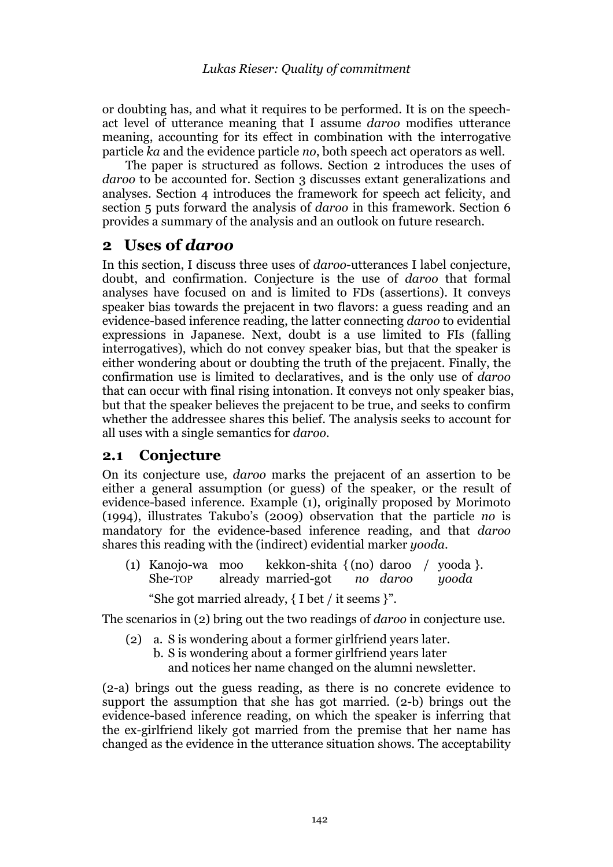or doubting has, and what it requires to be performed. It is on the speechact level of utterance meaning that I assume *daroo* modifies utterance meaning, accounting for its effect in combination with the interrogative particle *ka* and the evidence particle *no*, both speech act operators as well.

The paper is structured as follows. Section 2 introduces the uses of daroo to be accounted for. Section 3 discusses extant generalizations and analyses. Section 4 introduces the framework for speech act felicity, and section 5 puts forward the analysis of *daroo* in this framework. Section 6 provides a summary of the analysis and an outlook on future research.

## **2 Uses of** *daroo*

In this section, I discuss three uses of *daroo*-utterances I label conjecture, doubt, and confirmation. Conjecture is the use of *daroo* that formal analyses have focused on and is limited to FDs (assertions). It conveys speaker bias towards the prejacent in two flavors: a guess reading and an evidence-based inference reading, the latter connecting *daroo* to evidential expressions in Japanese. Next, doubt is a use limited to FIs (falling interrogatives), which do not convey speaker bias, but that the speaker is either wondering about or doubting the truth of the prejacent. Finally, the confirmation use is limited to declaratives, and is the only use of *daroo*  that can occur with final rising intonation. It conveys not only speaker bias, but that the speaker believes the prejacent to be true, and seeks to confirm whether the addressee shares this belief. The analysis seeks to account for all uses with a single semantics for *daroo.*

#### **2.1 Conjecture**

On its conjecture use, *daroo* marks the prejacent of an assertion to be either a general assumption (or guess) of the speaker, or the result of evidence-based inference. Example (1), originally proposed by Morimoto (1994), illustrates Takubo's (2009) observation that the particle *no* is mandatory for the evidence-based inference reading, and that *daroo* shares this reading with the (indirect) evidential marker *yooda*.

(1) Kanojo-wa moo kekkon-shita { (no) daroo / yooda }. She-TOP already married-got *no daroo yooda*

"She got married already, { I bet / it seems }".

The scenarios in (2) bring out the two readings of *daroo* in conjecture use.

- (2) a. S is wondering about a former girlfriend years later.
	- b. S is wondering about a former girlfriend years later and notices her name changed on the alumni newsletter.

(2-a) brings out the guess reading, as there is no concrete evidence to support the assumption that she has got married. (2-b) brings out the evidence-based inference reading, on which the speaker is inferring that the ex-girlfriend likely got married from the premise that her name has changed as the evidence in the utterance situation shows. The acceptability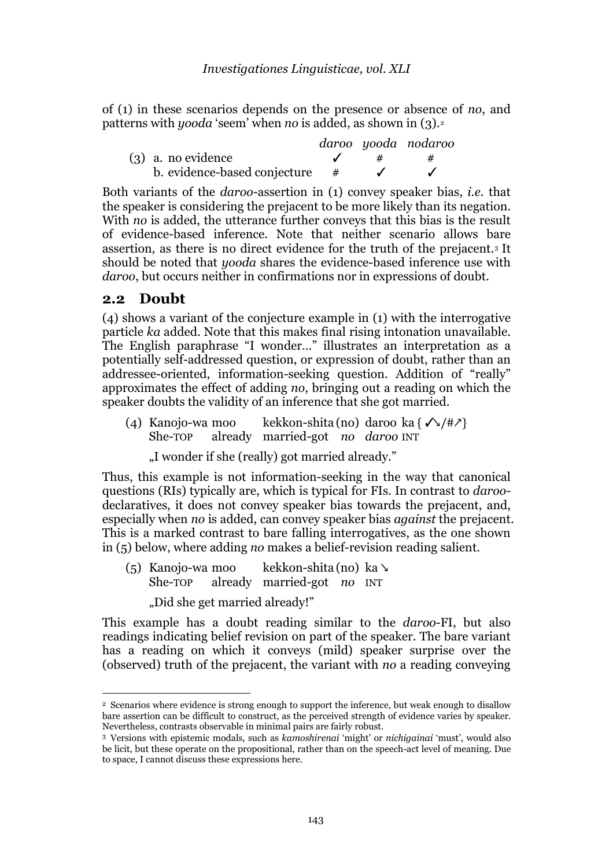of (1) in these scenarios depends on the presence or absence of *no*, and patterns with *yooda* 'seem' when *no* is added, as shown in (3).[2](#page-2-0)

|                              |   | daroo yooda nodaroo |
|------------------------------|---|---------------------|
| $(3)$ a. no evidence         | # | #                   |
| b. evidence-based conjecture |   |                     |

Both variants of the *daroo*-assertion in (1) convey speaker bias, *i.e.* that the speaker is considering the prejacent to be more likely than its negation. With *no* is added, the utterance further conveys that this bias is the result of evidence-based inference. Note that neither scenario allows bare assertion, as there is no direct evidence for the truth of the prejacent.[3](#page-2-1) It should be noted that *yooda* shares the evidence-based inference use with *daroo*, but occurs neither in confirmations nor in expressions of doubt.

#### **2.2 Doubt**

(4) shows a variant of the conjecture example in (1) with the interrogative particle *ka* added. Note that this makes final rising intonation unavailable. The English paraphrase "I wonder…" illustrates an interpretation as a potentially self-addressed question, or expression of doubt, rather than an addressee-oriented, information-seeking question. Addition of "really" approximates the effect of adding *no*, bringing out a reading on which the speaker doubts the validity of an inference that she got married.

(4) Kanojo-wa moo kekkon-shita (no) daroo ka  $\{\sqrt{t}/\sqrt{t^2}\}$ <br>She-rop already married-got *no daroo* INT already married-got *no daroo* INT

"I wonder if she (really) got married already."

Thus, this example is not information-seeking in the way that canonical questions (RIs) typically are, which is typical for FIs. In contrast to *daroo*declaratives, it does not convey speaker bias towards the prejacent, and, especially when *no* is added, can convey speaker bias *against* the prejacent. This is a marked contrast to bare falling interrogatives, as the one shown in (5) below, where adding *no* makes a belief-revision reading salient.

(5) Kanojo-wa moo kekkon-shita (no) ka ↘ already married-got *no* INT

"Did she get married already!"

This example has a doubt reading similar to the *daroo*-FI, but also readings indicating belief revision on part of the speaker. The bare variant has a reading on which it conveys (mild) speaker surprise over the (observed) truth of the prejacent, the variant with *no* a reading conveying

<span id="page-2-0"></span><sup>2</sup> Scenarios where evidence is strong enough to support the inference, but weak enough to disallow bare assertion can be difficult to construct, as the perceived strength of evidence varies by speaker. Nevertheless, contrasts observable in minimal pairs are fairly robust.

<span id="page-2-1"></span><sup>3</sup> Versions with epistemic modals, such as *kamoshirenai* 'might' or *nichigainai* 'must', would also be licit, but these operate on the propositional, rather than on the speech-act level of meaning. Due to space, I cannot discuss these expressions here.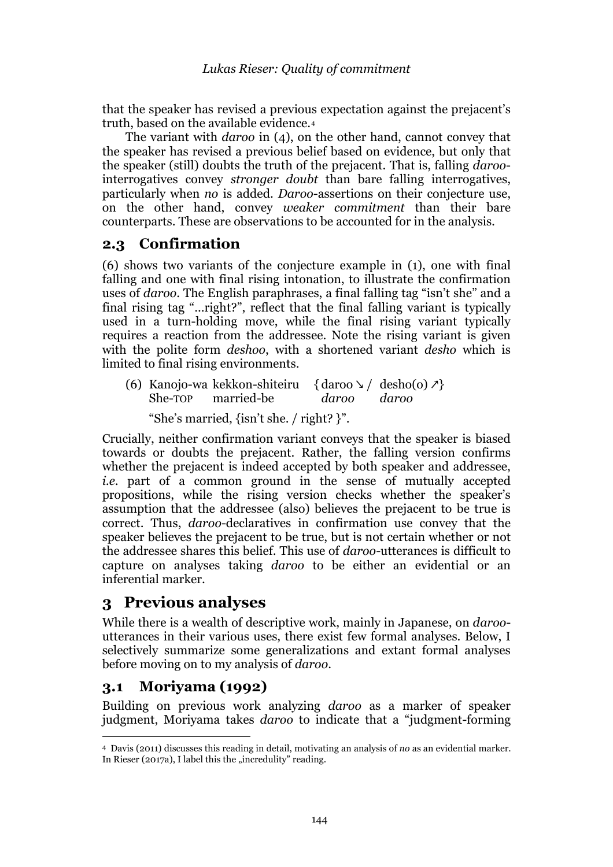that the speaker has revised a previous expectation against the prejacent's truth, based on the available evidence.[4](#page-3-0)

The variant with *daroo* in (4), on the other hand, cannot convey that the speaker has revised a previous belief based on evidence, but only that the speaker (still) doubts the truth of the prejacent. That is, falling *daroo*interrogatives convey *stronger doubt* than bare falling interrogatives, particularly when *no* is added. *Daroo*-assertions on their conjecture use, on the other hand, convey *weaker commitment* than their bare counterparts. These are observations to be accounted for in the analysis*.* 

## **2.3 Confirmation**

(6) shows two variants of the conjecture example in (1), one with final falling and one with final rising intonation, to illustrate the confirmation uses of *daroo*. The English paraphrases, a final falling tag "isn't she" and a final rising tag "...right?", reflect that the final falling variant is typically used in a turn-holding move, while the final rising variant typically requires a reaction from the addressee. Note the rising variant is given with the polite form *deshoo*, with a shortened variant *desho* which is limited to final rising environments.

(6) Kanojo-wa kekkon-shiteiru  $\{\text{daroo } \setminus / \text{desho(o)} \neq \text{She-TOP} \}$  married-be daroo daroo married-be

"She's married, {isn't she. / right? }".

Crucially, neither confirmation variant conveys that the speaker is biased towards or doubts the prejacent. Rather, the falling version confirms whether the prejacent is indeed accepted by both speaker and addressee, *i.e.* part of a common ground in the sense of mutually accepted propositions, while the rising version checks whether the speaker's assumption that the addressee (also) believes the prejacent to be true is correct. Thus, *daroo*-declaratives in confirmation use convey that the speaker believes the prejacent to be true, but is not certain whether or not the addressee shares this belief. This use of *daroo-*utterances is difficult to capture on analyses taking *daroo* to be either an evidential or an inferential marker.

# **3 Previous analyses**

While there is a wealth of descriptive work, mainly in Japanese, on *daroo*utterances in their various uses, there exist few formal analyses. Below, I selectively summarize some generalizations and extant formal analyses before moving on to my analysis of *daroo*.

# **3.1 Moriyama (1992)**

Building on previous work analyzing *daroo* as a marker of speaker judgment, Moriyama takes *daroo* to indicate that a "judgment-forming

<span id="page-3-0"></span><sup>4</sup> Davis (2011) discusses this reading in detail, motivating an analysis of *no* as an evidential marker. In Rieser (2017a), I label this the "incredulity" reading.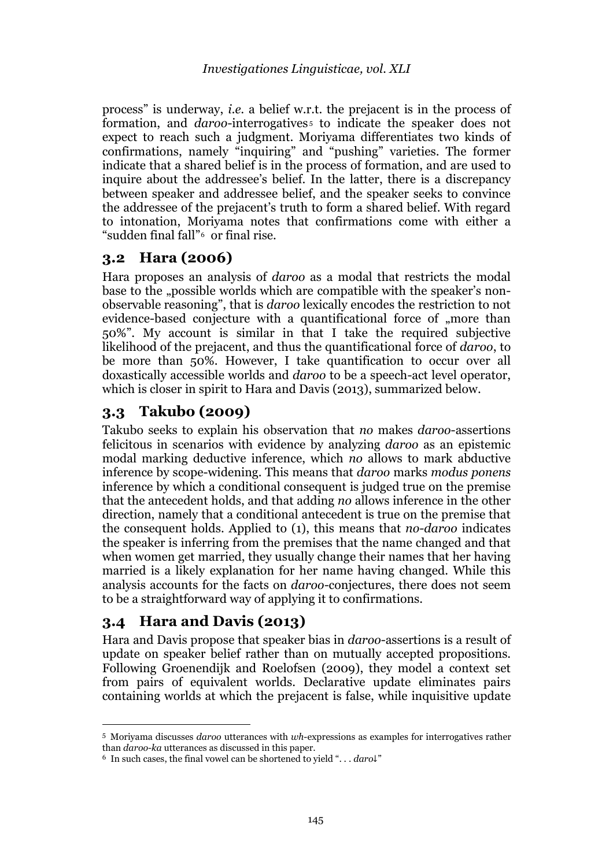process" is underway, *i.e.* a belief w.r.t. the prejacent is in the process of formation, and *daroo*-interrogatives<sup>[5](#page-4-0)</sup> to indicate the speaker does not expect to reach such a judgment. Moriyama differentiates two kinds of confirmations, namely "inquiring" and "pushing" varieties. The former indicate that a shared belief is in the process of formation, and are used to inquire about the addressee's belief. In the latter, there is a discrepancy between speaker and addressee belief, and the speaker seeks to convince the addressee of the prejacent's truth to form a shared belief. With regard to intonation, Moriyama notes that confirmations come with either a "sudden final fall"[6](#page-4-1) or final rise.

### **3.2 Hara (2006)**

Hara proposes an analysis of *daroo* as a modal that restricts the modal base to the "possible worlds which are compatible with the speaker's nonobservable reasoning", that is *daroo* lexically encodes the restriction to not evidence-based conjecture with a quantificational force of "more than 50%". My account is similar in that I take the required subjective likelihood of the prejacent, and thus the quantificational force of *daroo*, to be more than 50%. However, I take quantification to occur over all doxastically accessible worlds and *daroo* to be a speech-act level operator, which is closer in spirit to Hara and Davis (2013), summarized below.

## **3.3 Takubo (2009)**

Takubo seeks to explain his observation that *no* makes *daroo*-assertions felicitous in scenarios with evidence by analyzing *daroo* as an epistemic modal marking deductive inference, which *no* allows to mark abductive inference by scope-widening. This means that *daroo* marks *modus ponens* inference by which a conditional consequent is judged true on the premise that the antecedent holds, and that adding *no* allows inference in the other direction, namely that a conditional antecedent is true on the premise that the consequent holds. Applied to (1), this means that *no-daroo* indicates the speaker is inferring from the premises that the name changed and that when women get married, they usually change their names that her having married is a likely explanation for her name having changed. While this analysis accounts for the facts on *daroo-*conjectures, there does not seem to be a straightforward way of applying it to confirmations.

## **3.4 Hara and Davis (2013)**

Hara and Davis propose that speaker bias in *daroo*-assertions is a result of update on speaker belief rather than on mutually accepted propositions. Following Groenendijk and Roelofsen (2009), they model a context set from pairs of equivalent worlds. Declarative update eliminates pairs containing worlds at which the prejacent is false, while inquisitive update

<span id="page-4-0"></span><sup>5</sup> Moriyama discusses *daroo* utterances with *wh*-expressions as examples for interrogatives rather than *daroo-ka* utterances as discussed in this paper. 6 In such cases, the final vowel can be shortened to yield ". . . *daro*↓"

<span id="page-4-1"></span>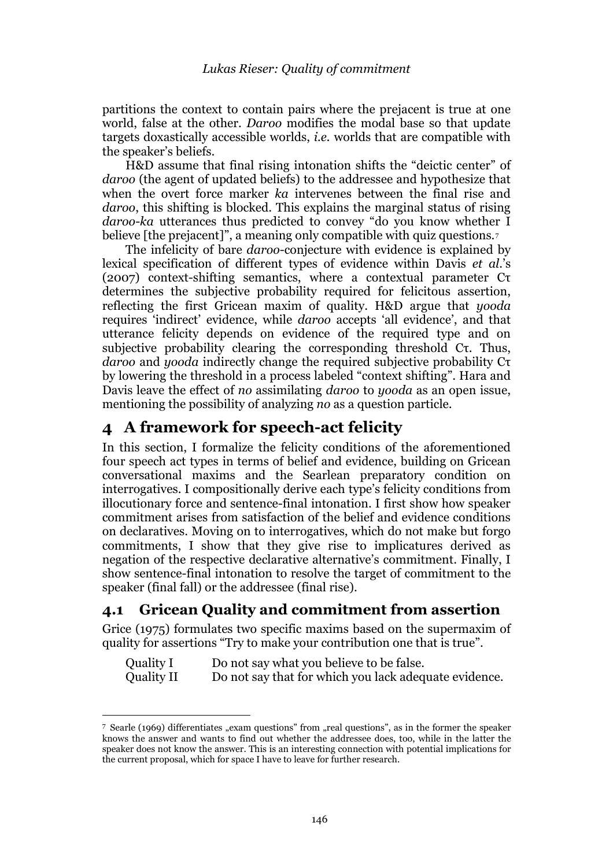partitions the context to contain pairs where the prejacent is true at one world, false at the other. *Daroo* modifies the modal base so that update targets doxastically accessible worlds, *i.e.* worlds that are compatible with the speaker's beliefs.

H&D assume that final rising intonation shifts the "deictic center" of *daroo* (the agent of updated beliefs) to the addressee and hypothesize that when the overt force marker *ka* intervenes between the final rise and *daroo*, this shifting is blocked. This explains the marginal status of rising *daroo*-*ka* utterances thus predicted to convey "do you know whether I believe [the prejacent]", a meaning only compatible with quiz questions.<sup>[7](#page-5-0)</sup>

The infelicity of bare *daroo*-conjecture with evidence is explained by lexical specification of different types of evidence within Davis *et al*.'s (2007) context-shifting semantics, where a contextual parameter Cτ determines the subjective probability required for felicitous assertion, reflecting the first Gricean maxim of quality. H&D argue that *yooda* requires 'indirect' evidence, while *daroo* accepts 'all evidence', and that utterance felicity depends on evidence of the required type and on subjective probability clearing the corresponding threshold Cτ. Thus, *daroo* and *yooda* indirectly change the required subjective probability Cτ by lowering the threshold in a process labeled "context shifting". Hara and Davis leave the effect of *no* assimilating *daroo* to *yooda* as an open issue, mentioning the possibility of analyzing *no* as a question particle.

# **4 A framework for speech-act felicity**

In this section, I formalize the felicity conditions of the aforementioned four speech act types in terms of belief and evidence, building on Gricean conversational maxims and the Searlean preparatory condition on interrogatives. I compositionally derive each type's felicity conditions from illocutionary force and sentence-final intonation. I first show how speaker commitment arises from satisfaction of the belief and evidence conditions on declaratives. Moving on to interrogatives, which do not make but forgo commitments, I show that they give rise to implicatures derived as negation of the respective declarative alternative's commitment. Finally, I show sentence-final intonation to resolve the target of commitment to the speaker (final fall) or the addressee (final rise).

### **4.1 Gricean Quality and commitment from assertion**

Grice (1975) formulates two specific maxims based on the supermaxim of quality for assertions "Try to make your contribution one that is true".

| Quality I  | Do not say what you believe to be false.              |
|------------|-------------------------------------------------------|
| Quality II | Do not say that for which you lack adequate evidence. |

<span id="page-5-0"></span><sup>7</sup> Searle (1969) differentiates "exam questions" from "real questions", as in the former the speaker knows the answer and wants to find out whether the addressee does, too, while in the latter the speaker does not know the answer. This is an interesting connection with potential implications for the current proposal, which for space I have to leave for further research.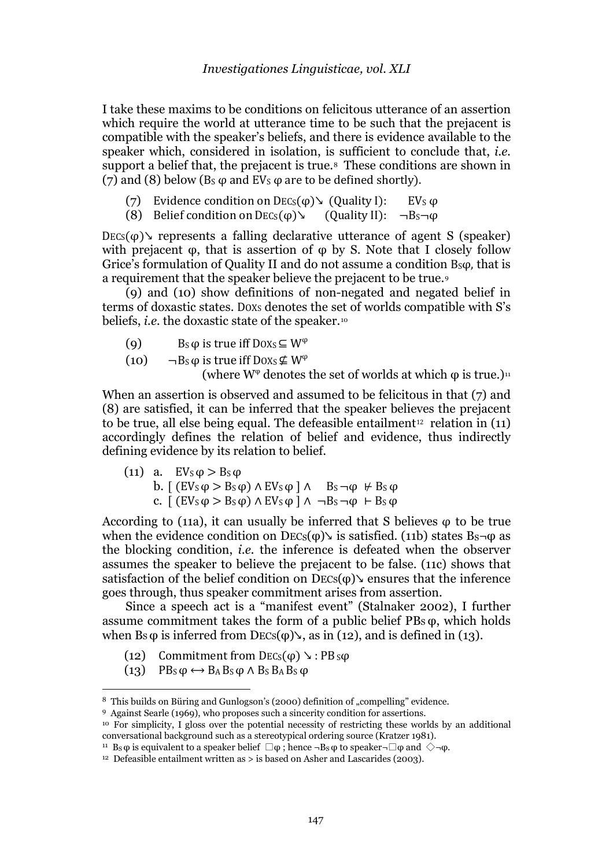I take these maxims to be conditions on felicitous utterance of an assertion which require the world at utterance time to be such that the prejacent is compatible with the speaker's beliefs, and there is evidence available to the speaker which, considered in isolation, is sufficient to conclude that, *i.e.*  support a belief that, the prejacent is true.<sup>[8](#page-6-0)</sup> These conditions are shown in (7) and (8) below ( $Bs \varphi$  and EV<sub>s</sub>  $\varphi$  are to be defined shortly).

- (7) Evidence condition on  $Decs(\varphi)$  (Quality I): EV<sub>s</sub>  $\varphi$
- (8) Belief condition on  $DECs(\varphi)$  (Quality II):  $\neg Bs\neg \varphi$

 $DECs(\varphi)$  represents a falling declarative utterance of agent S (speaker) with prejacent  $\varphi$ , that is assertion of  $\varphi$  by S. Note that I closely follow Grice's formulation of Quality II and do not assume a condition B<sub>sφ</sub>, that is a requirement that the speaker believe the prejacent to be true.

(9) and (10) show definitions of non-negated and negated belief in terms of doxastic states. DOXS denotes the set of worlds compatible with S's beliefs, *i.e.* the doxastic state of the speaker.<sup>[10](#page-6-2)</sup>

- (9) Bs  $\varphi$  is true iff Doxs  $\subseteq W^{\varphi}$
- (10)  $\neg$ Bs  $\varphi$  is true iff Doxs  $\not\subseteq W^{\varphi}$ (where  $W^{\varphi}$  denotes the set of worlds at which  $\varphi$  is true.)<sup>[11](#page-6-3)</sup>

When an assertion is observed and assumed to be felicitous in that (7) and (8) are satisfied, it can be inferred that the speaker beli[eve](#page-6-4)s the prejacent to be true, all else being equal. The defeasible entailment<sup>12</sup> relation in  $(11)$ accordingly defines the relation of belief and evidence, thus indirectly defining evidence by its relation to belief.

(11) a.  $EV_S \varphi > B_S \varphi$ b.  $[(EV_S \varphi > Bs \varphi) \wedge EV_S \varphi] \wedge B_S \neg \varphi \nleftrightarrow Bs \varphi$ c.  $[(EV_S \varphi > B_S \varphi) \wedge EV_S \varphi] \wedge \neg B_S \neg \varphi \vdash B_S \varphi$ 

According to (11a), it can usually be inferred that S believes  $\varphi$  to be true when the evidence condition on  $Decs(\varphi)$  is satisfied. (11b) states  $Bs\neg\varphi$  as the blocking condition, *i.e.* the inference is defeated when the observer assumes the speaker to believe the prejacent to be false. (11c) shows that satisfaction of the belief condition on  $Decs(\varphi)$  ensures that the inference goes through, thus speaker commitment arises from assertion.

Since a speech act is a "manifest event" (Stalnaker 2002), I further assume commitment takes the form of a public belief  $PBs \varphi$ , which holds when  $Bs \varphi$  is inferred from  $Decs(\varphi)$ , as in (12), and is defined in (13).

- (12) Commitment from  $Decs(\varphi) \searrow$ : PB s $\varphi$
- (13)  $PB_S \varphi \leftrightarrow B_A B_S \varphi \wedge B_S B_A B_S \varphi$

<span id="page-6-0"></span><sup>&</sup>lt;sup>8</sup> This builds on Büring and Gunlogson's (2000) definition of "compelling" evidence.

<span id="page-6-1"></span><sup>9</sup> Against Searle (1969), who proposes such a sincerity condition for assertions.

<span id="page-6-2"></span><sup>&</sup>lt;sup>10</sup> For simplicity, I gloss over the potential necessity of restricting these worlds by an additional conversational background such as a stereotypical ordering source (Kratzer 1981).

<span id="page-6-3"></span><sup>&</sup>lt;sup>11</sup> Bs  $\varphi$  is equivalent to a speaker belief  $\Box \varphi$ ; hence  $\neg$ Bs  $\varphi$  to speaker $\neg$  $\Box \varphi$  and  $\diamondsuit \neg \varphi$ .

<span id="page-6-4"></span><sup>&</sup>lt;sup>12</sup> Defeasible entailment written as  $>$  is based on Asher and Lascarides (2003).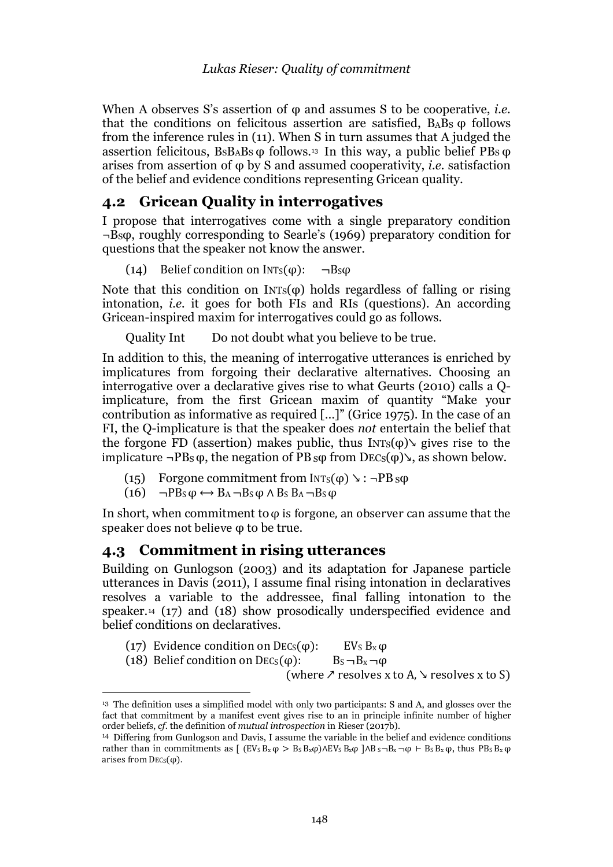When A observes S's assertion of φ and assumes S to be cooperative, *i.e.* that the conditions on felicitous assertion are satisfied,  $B_4B_5$   $\varphi$  follows from the inference rules in (11). When S in turn assumes that A judged the assertion felicitous,  $B_5B_4B_5$   $\varphi$  follows.<sup>[13](#page-7-0)</sup> In this way, a public belief PBs  $\varphi$ arises from assertion of φ by S and assumed cooperativity, *i.e.* satisfaction of the belief and evidence conditions representing Gricean quality.

### **4.2 Gricean Quality in interrogatives**

I propose that interrogatives come with a single preparatory condition ¬BSφ, roughly corresponding to Searle's (1969) preparatory condition for questions that the speaker not know the answer.

(14) Belief condition on  $INTs(\phi)$ :  $\neg Bs\phi$ 

Note that this condition on  $INTs(\varphi)$  holds regardless of falling or rising intonation, *i.e.* it goes for both FIs and RIs (questions). An according Gricean-inspired maxim for interrogatives could go as follows.

Quality Int Do not doubt what you believe to be true.

In addition to this, the meaning of interrogative utterances is enriched by implicatures from forgoing their declarative alternatives. Choosing an interrogative over a declarative gives rise to what Geurts (2010) calls a Qimplicature, from the first Gricean maxim of quantity "Make your contribution as informative as required […]" (Grice 1975). In the case of an FI, the Q-implicature is that the speaker does *not* entertain the belief that the forgone FD (assertion) makes public, thus  $INTs(\varphi)$  gives rise to the implicature  $\neg PB_S \varphi$ , the negation of PB sφ from DECs(φ), as shown below.

- (15) Forgone commitment from  $INT_S(\varphi) \rightarrow : \neg PB \, \varphi$
- (16)  $\neg PB_S \omega \leftrightarrow B_A \neg B_S \omega \wedge B_S B_A \neg B_S \omega$

In short, when commitment to  $\varphi$  is forgone, an observer can assume that the speaker does not believe φ to be true.

#### **4.3 Commitment in rising utterances**

Building on Gunlogson (2003) and its adaptation for Japanese particle utterances in Davis (2011), I assume final rising intonation in declaratives resolves a variable to the addressee, final falling intonation to the speaker.<sup>[14](#page-7-1)</sup> (17) and (18) show prosodically underspecified evidence and belief conditions on declaratives.

| (17) Evidence condition on DEC <sub>s</sub> ( $\varphi$ ):   | EV <sub>s</sub> $B_x \omega$ |  |
|--------------------------------------------------------------|------------------------------|--|
| (18) Belief condition on DEC <sub>s</sub> ( $\varphi$ ):     | $Bs - Bx - \varphi$          |  |
| (where $\lambda$ resolves x to A, $\lambda$ resolves x to S) |                              |  |

<span id="page-7-0"></span><sup>&</sup>lt;sup>13</sup> The definition uses a simplified model with only two participants: S and A, and glosses over the fact that commitment by a manifest event gives rise to an in principle infinite number of higher order beliefs, *cf.* the definition of *mutual introspection* in Rieser (2017b).

<span id="page-7-1"></span><sup>14</sup> Differing from Gunlogson and Davis, I assume the variable in the belief and evidence conditions rather than in commitments as  $[(EV_S B_x \varphi > B_S B_x \varphi) \wedge EV_S B_x \varphi \wedge B_S B_x - \varphi + B_S B_x \varphi,$  thus  $PB_S B_x \varphi$ arises from  $Decs(\varphi)$ .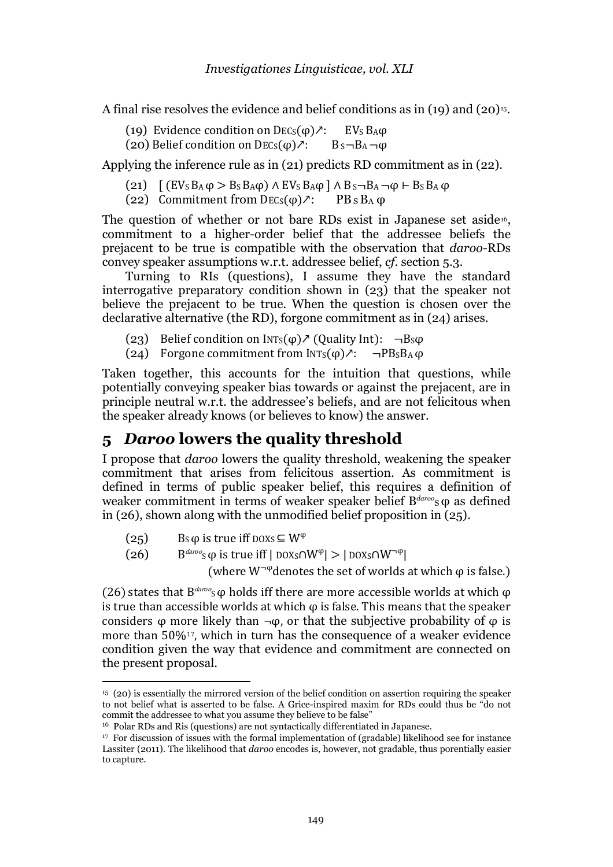A final rise resolves the evidence and belief conditions as in  $(19)$  and  $(20)$ <sup>[15](#page-8-0)</sup>.

- (19) Evidence condition on DECs( $\varphi$ ) $\lambda$ : EVs B<sub>A</sub> $\varphi$  (20) Belief condition on DECs( $\varphi$ ) $\lambda$ : B<sub>S</sub>-B<sub>A</sub>- $\varphi$
- (20) Belief condition on DECs( $\varphi$ ) $\lambda$ :

Applying the inference rule as in (21) predicts RD commitment as in (22).

- (21)  $[(EV_S B_A \varphi > B_S B_A \varphi) \wedge EV_S B_A \varphi] \wedge B_S \neg B_A \neg \varphi \vdash B_S B_A \varphi$ <br>(22) Commitment from DECs( $\varphi$ ) $\lambda$ : PB s B<sub>A</sub>  $\varphi$
- (22) Commitment from  $Decs(\varphi)$  ?:

The question of whether or not bare RDs exist in Japanese set aside<sup>16</sup>, commitment to a higher-order belief that the addressee beliefs the prejacent to be true is compatible with the observation that *daroo*-RDs convey speaker assumptions w.r.t. addressee belief, *cf.* section 5.3.

Turning to RIs (questions), I assume they have the standard interrogative preparatory condition shown in (23) that the speaker not believe the prejacent to be true. When the question is chosen over the declarative alternative (the RD), forgone commitment as in (24) arises.

- (23) Belief condition on  $INTs(\varphi) \nearrow$  (Quality Int):  $\neg Bs\varphi$
- (24) Forgone commitment from  $INT_S(\varphi)$ ?:  $\neg PB_S B_A \varphi$

Taken together, this accounts for the intuition that questions, while potentially conveying speaker bias towards or against the prejacent, are in principle neutral w.r.t. the addressee's beliefs, and are not felicitous when the speaker already knows (or believes to know) the answer.

# **5** *Daroo* **lowers the quality threshold**

I propose that *daroo* lowers the quality threshold, weakening the speaker commitment that arises from felicitous assertion. As commitment is defined in terms of public speaker belief, this requires a definition of weaker commitment in terms of weaker speaker belief B<sup>daroo</sup>sφ as defined in (26), shown along with the unmodified belief proposition in (25).

- (25) Bs  $\varphi$  is true iff DOXs  $\subseteq W^{\varphi}$
- (26) B<sup>daroo</sup>s φ is true iff | DOXs∩W<sup>φ</sup>| > | DOXs∩W<sup>¬φ</sup>|

(where  $W^{\neg \phi}$  denotes the set of worlds at which  $\phi$  is false.)

(26) states that  $B^{daroo}$ s  $\varphi$  holds iff there are more accessible worlds at which  $\varphi$ is true than accessible worlds at which  $\varphi$  is false. This means that the speaker considers  $\varphi$  mo[re](#page-8-2) likely than  $\neg \varphi$ , or that the subjective probability of  $\varphi$  is more than 50%17, which in turn has the consequence of a weaker evidence condition given the way that evidence and commitment are connected on the present proposal.

<span id="page-8-0"></span><sup>15</sup> (20) is essentially the mirrored version of the belief condition on assertion requiring the speaker to not belief what is asserted to be false. A Grice-inspired maxim for RDs could thus be "do not commit the addressee to what you assume they believe to be false"

<span id="page-8-1"></span><sup>16</sup> Polar RDs and Ris (questions) are not syntactically differentiated in Japanese.

<span id="page-8-2"></span><sup>17</sup> For discussion of issues with the formal implementation of (gradable) likelihood see for instance Lassiter (2011). The likelihood that *daroo* encodes is, however, not gradable, thus porentially easier to capture.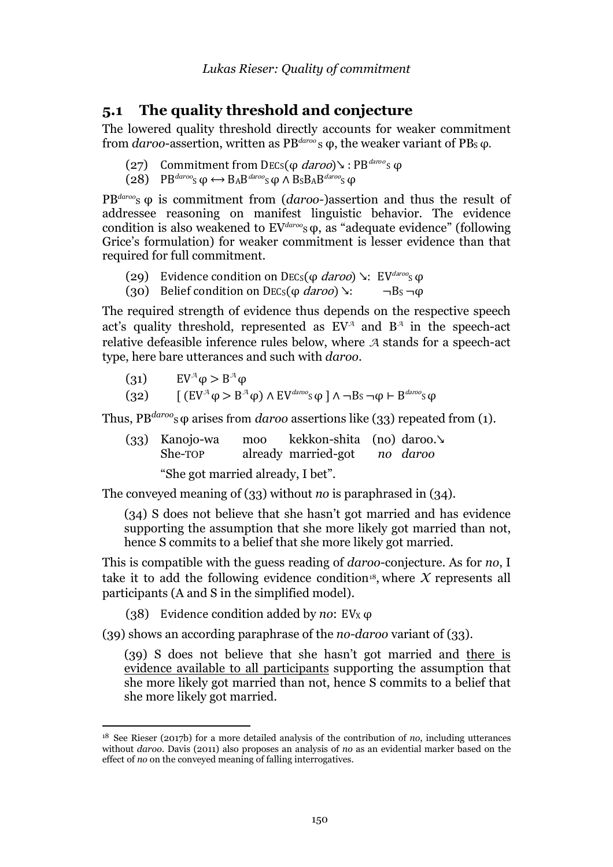### **5.1 The quality threshold and conjecture**

The lowered quality threshold directly accounts for weaker commitment from *daroo*-assertion, written as PB<sup>*daroo*</sup>s φ, the weaker variant of PB<sub>S</sub> φ.

- (27) Commitment from DEC<sub>S</sub>( $\varphi$  daroo)↘ : PB<sup>daroo</sup>s $\varphi$
- $(28)$  PB<sup>daroo</sup>s  $\omega \leftrightarrow$  BAB<sup>daroo</sup>s  $\omega \wedge$  B<sub>S</sub>B<sub>A</sub>B<sup>daroo</sup>s  $\omega$

PB<sup>daroo</sup>s φ is commitment from (*daroo*-)assertion and thus the result of addressee reasoning on manifest linguistic behavior. The evidence condition is also weakened to EV<sup>daroo</sup><sub>S</sub> φ, as "adequate evidence" (following Grice's formulation) for weaker commitment is lesser evidence than that required for full commitment.

- (29) Evidence condition on DECs( $\varphi$  *daroo*)  $\searrow$ : EV<sup>daroo</sup>s $\varphi$ <br>(30) Belief condition on DECs( $\varphi$  *daroo*)  $\searrow$ :  $\neg$ Bs $\neg$  $\varphi$
- (30) Belief condition on DECs( $\omega$  daroo)  $\lambda$ :

The required strength of evidence thus depends on the respective speech act's quality threshold, represented as EV*<sup>A</sup>* and B*<sup>A</sup>* in the speech-act relative defeasible inference rules below, where *A* stands for a speech-act type, here bare utterances and such with *daroo*.

- (31)  $EV^{\mathcal{A}} \varphi > B^{\mathcal{A}} \varphi$
- (32)  $[(EV^{\mathcal{A}} \varphi > B^{\mathcal{A}} \varphi) \wedge EV^{daroo} \varphi] \wedge \neg Bs \neg \varphi \vdash B^{daroo} \varphi$

Thus,  $PB^{daroo}$ <sub>S</sub>  $\varphi$  arises from *daroo* assertions like (33) repeated from (1).

(33) Kanojo-wa moo kekkon-shita (no) daroo.↘ already married-got

"She got married already, I bet".

The conveyed meaning of (33) without *no* is paraphrased in (34).

(34) S does not believe that she hasn't got married and has evidence supporting the assumption that she more likely got married than not, hence S commits to a belief that she more likely got married.

This is compatible with the guess reading of *daroo-*conjecture. As for *no*, I take it to add the following evidence condition<sup>[18](#page-9-0)</sup>, where  $X$  represents all participants (A and S in the simplified model).

(38) Evidence condition added by *no*: EVX φ

(39) shows an according paraphrase of the *no-daroo* variant of (33).

(39) S does not believe that she hasn't got married and there is evidence available to all participants supporting the assumption that she more likely got married than not, hence S commits to a belief that she more likely got married.

<span id="page-9-0"></span><sup>18</sup> See Rieser (2017b) for a more detailed analysis of the contribution of *no*, including utterances without *daroo*. Davis (2011) also proposes an analysis of *no* as an evidential marker based on the effect of *no* on the conveyed meaning of falling interrogatives.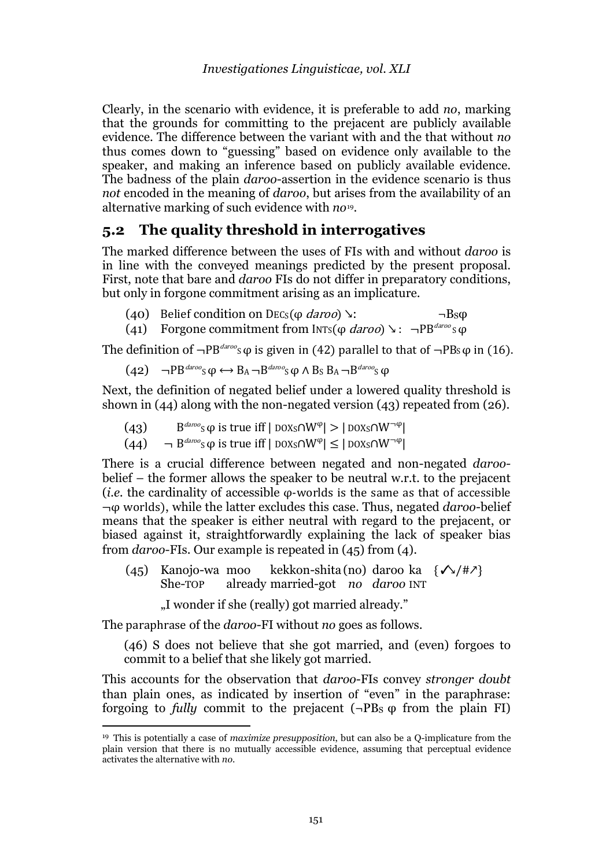Clearly, in the scenario with evidence, it is preferable to add *no*, marking that the grounds for committing to the prejacent are publicly available evidence. The difference between the variant with and the that without *no* thus comes down to "guessing" based on evidence only available to the speaker, and making an inference based on publicly available evidence. The badness of the plain *daroo*-assertion in the evidence scenario is thus *not* encoded in the meaning of *daroo*, but arises from the availability of an alternative marking of such evidence with *no*[19](#page-10-0).

### **5.2 The quality threshold in interrogatives**

The marked difference between the uses of FIs with and without *daroo* is in line with the conveyed meanings predicted by the present proposal. First, note that bare and *daroo* FIs do not differ in preparatory conditions, but only in forgone commitment arising as an implicature.

| (40) Belief condition on DEC <sub>S</sub> ( $\varphi$ <i>daroo</i> ) $\vee$ : | $\neg$ Bs $\varphi$ |
|-------------------------------------------------------------------------------|---------------------|
|                                                                               |                     |

(41) Forgone commitment from INTs(φ *daroo*) ↘ : ¬PB<sup>*daroo*</sup>sφ

The definition of  $\neg PB^{daroo}$ <sub>S</sub> $\varphi$  is given in (42) parallel to that of  $\neg PB$ <sub>S</sub> $\varphi$  in (16).

$$
(42) \quad \neg PB^{daroo}S \varphi \leftrightarrow B_A \neg B^{daroo}S \varphi \land B_S B_A \neg B^{daroo}S \varphi
$$

Next, the definition of negated belief under a lowered quality threshold is shown in (44) along with the non-negated version (43) repeated from (26).

- (43)  $B^{daroo}$ <sub>S</sub>  $\varphi$  is true iff | DOX<sub>S</sub> $\cap W^{\varphi}$ | > | DOX<sub>S</sub> $\cap W^{-\varphi}$ |
- (44)  $\neg B^{daroo}S \varphi$  is true iff  $|DOX_S \cap W^{\varphi}| \leq |DOX_S \cap W^{\neg \varphi}|$

There is a crucial difference between negated and non-negated *daroo*belief – the former allows the speaker to be neutral w.r.t. to the prejacent (*i.e.* the cardinality of accessible φ-worlds is the same as that of accessible ¬φ worlds), while the latter excludes this case. Thus, negated *daroo*-belief means that the speaker is either neutral with regard to the prejacent, or biased against it, straightforwardly explaining the lack of speaker bias from *daroo*-FIs. Our example is repeated in (45) from (4).

- (45) Kanojo-wa moo kekkon-shita (no) daroo ka  $\{\sqrt{47}\}\$ <br>She-TOP already married-got *no daroo* INT already married-got *no daroo* INT
	- "I wonder if she (really) got married already."

The paraphrase of the *daroo*-FI without *no* goes as follows.

(46) S does not believe that she got married, and (even) forgoes to commit to a belief that she likely got married.

This accounts for the observation that *daroo*-FIs convey *stronger doubt* than plain ones, as indicated by insertion of "even" in the paraphrase: forgoing to *fully* commit to the prejacent (¬PBS φ from the plain FI)

<span id="page-10-0"></span><sup>19</sup> This is potentially a case of *maximize presupposition*, but can also be a Q-implicature from the plain version that there is no mutually accessible evidence, assuming that perceptual evidence activates the alternative with *no*.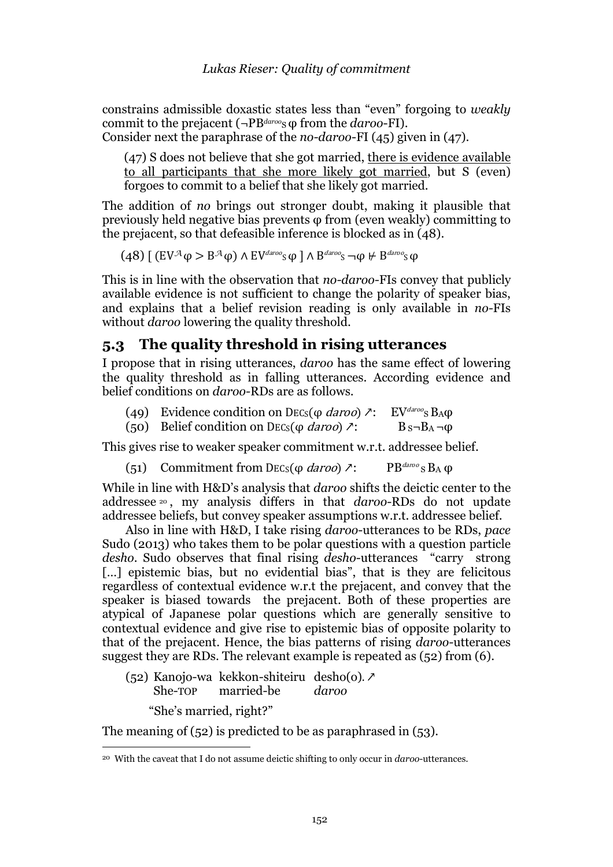constrains admissible doxastic states less than "even" forgoing to *weakly* commit to the prejacent (¬PB<sup>*daroo*</sup>s φ from the *daroo*-FI).

Consider next the paraphrase of the *no-daroo*-FI (45) given in (47).

(47) S does not believe that she got married, there is evidence available to all participants that she more likely got married, but S (even) forgoes to commit to a belief that she likely got married.

The addition of *no* brings out stronger doubt, making it plausible that previously held negative bias prevents φ from (even weakly) committing to the prejacent, so that defeasible inference is blocked as in (48).

 $(48)$  [ (EV<sup>A</sup> $\phi$  > B<sup>A</sup> $\phi$ ) Λ EV<sup>daroo</sup><sub>S</sub> $\phi$  ] Λ B<sup>daroo</sup><sub>S</sub>  $\phi$  ⊬ B<sup>daroo</sup>s  $\phi$ 

This is in line with the observation that *no-daroo-*FIs convey that publicly available evidence is not sufficient to change the polarity of speaker bias, and explains that a belief revision reading is only available in *no-*FIs without *daroo* lowering the quality threshold.

### **5.3 The quality threshold in rising utterances**

I propose that in rising utterances, *daroo* has the same effect of lowering the quality threshold as in falling utterances. According evidence and belief conditions on *daroo-*RDs are as follows.

- (49) Evidence condition on DECs( $\varphi$  *daroo*)  $\lambda$ : EV<sup>daroo</sup>s B<sub>A</sub> $\varphi$  (50) Belief condition on DECs( $\varphi$  *daroo*)  $\lambda$ : B s-B<sub>A</sub>- $\varphi$
- (50) Belief condition on DEC<sub>S</sub>( $\varphi$  *daroo*)  $\lambda$ :

This gives rise to weaker speaker commitment w.r.t. addressee belief.

(51) Commitment from DEC<sub>S</sub>( $\varphi$  daroo)  $\lambda$ : PB<sup>daroo</sup> S B<sub>A</sub>  $\varphi$ 

While in line with H&D's analysis that *daroo* shifts the deictic center to the addressee [20](#page-11-0) , my analysis differs in that *daroo*-RDs do not update addressee beliefs, but convey speaker assumptions w.r.t. addressee belief.

Also in line with H&D, I take rising *daroo*-utterances to be RDs, *pace* Sudo (2013) who takes them to be polar questions with a question particle *desho*. Sudo observes that final rising *desho*-utterances "carry strong [...] epistemic bias, but no evidential bias", that is they are felicitous regardless of contextual evidence w.r.t the prejacent, and convey that the speaker is biased towards the prejacent. Both of these properties are atypical of Japanese polar questions which are generally sensitive to contextual evidence and give rise to epistemic bias of opposite polarity to that of the prejacent. Hence, the bias patterns of rising *daroo-*utterances suggest they are RDs. The relevant example is repeated as (52) from (6).

(52) Kanojo-wa kekkon-shiteiru desho(o). ↗ married-be

"She's married, right?"

The meaning of (52) is predicted to be as paraphrased in (53).

<span id="page-11-0"></span><sup>20</sup> With the caveat that I do not assume deictic shifting to only occur in *daroo*-utterances.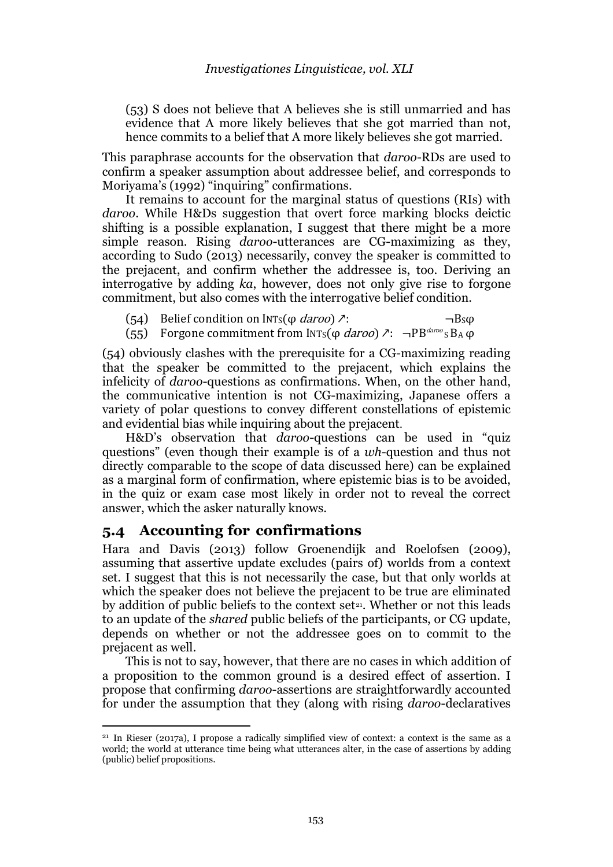(53) S does not believe that A believes she is still unmarried and has evidence that A more likely believes that she got married than not, hence commits to a belief that A more likely believes she got married.

This paraphrase accounts for the observation that *daroo*-RDs are used to confirm a speaker assumption about addressee belief, and corresponds to Moriyama's (1992) "inquiring" confirmations.

It remains to account for the marginal status of questions (RIs) with *daroo*. While H&Ds suggestion that overt force marking blocks deictic shifting is a possible explanation, I suggest that there might be a more simple reason. Rising *daroo*-utterances are CG-maximizing as they, according to Sudo (2013) necessarily, convey the speaker is committed to the prejacent, and confirm whether the addressee is, too. Deriving an interrogative by adding *ka*, however, does not only give rise to forgone commitment, but also comes with the interrogative belief condition.

- 
- (54) Belief condition on  $INT_S(\varphi \, \text{d} \, \text{d} \, \text{d} \, \text{d} \, \text{d} \, \text{d} \, \text{d} \, \text{d} \, \text{d} \, \text{d} \, \text{d} \, \text{d} \, \text{d} \, \text{d} \, \text{d} \, \text{d} \, \text{d} \, \text{d} \, \text{d} \, \text{d} \, \text{d} \, \text{d} \, \text{d} \, \text{d} \, \text{d} \, \text{d} \, \text{d} \$ Forgone commitment from INTs( $\varphi$  daroo)  $\lambda$ :  $\neg PB^{daroo}$  S B<sub>A</sub>  $\varphi$

(54) obviously clashes with the prerequisite for a CG-maximizing reading that the speaker be committed to the prejacent, which explains the infelicity of *daroo*-questions as confirmations. When, on the other hand, the communicative intention is not CG-maximizing, Japanese offers a variety of polar questions to convey different constellations of epistemic and evidential bias while inquiring about the prejacent.

H&D's observation that *daroo*-questions can be used in "quiz questions" (even though their example is of a *wh*-question and thus not directly comparable to the scope of data discussed here) can be explained as a marginal form of confirmation, where epistemic bias is to be avoided, in the quiz or exam case most likely in order not to reveal the correct answer, which the asker naturally knows.

#### **5.4 Accounting for confirmations**

Hara and Davis (2013) follow Groenendijk and Roelofsen (2009), assuming that assertive update excludes (pairs of) worlds from a context set. I suggest that this is not necessarily the case, but that only worlds at which the speaker does not believe the prejacent to be true are eliminated by addition of public beliefs to the context set $21$ . Whether or not this leads to an update of the *shared* public beliefs of the participants, or CG update, depends on whether or not the addressee goes on to commit to the prejacent as well.

This is not to say, however, that there are no cases in which addition of a proposition to the common ground is a desired effect of assertion. I propose that confirming *daroo*-assertions are straightforwardly accounted for under the assumption that they (along with rising *daroo*-declaratives

<span id="page-12-0"></span><sup>21</sup> In Rieser (2017a), I propose a radically simplified view of context: a context is the same as a world; the world at utterance time being what utterances alter, in the case of assertions by adding (public) belief propositions.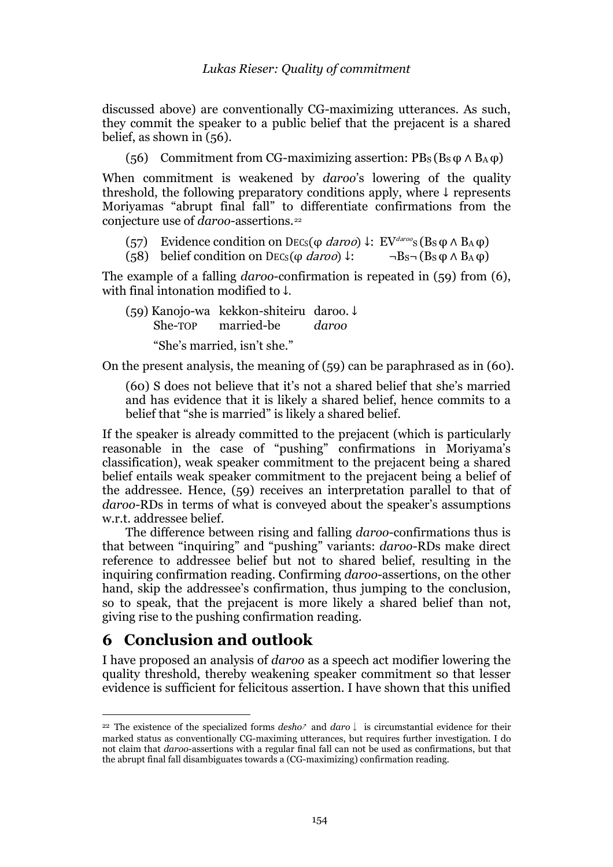discussed above) are conventionally CG-maximizing utterances. As such, they commit the speaker to a public belief that the prejacent is a shared belief, as shown in (56).

(56) Commitment from CG-maximizing assertion:  $PB_S(B_S \varphi \wedge B_A \varphi)$ 

When commitment is weakened by *daroo*'s lowering of the quality threshold, the following preparatory conditions apply, where ↓ represents Moriyamas "abrupt final fall" to differentiate confirmations from the conjecture use of *daroo*-assertions.[22](#page-13-0)

(57) Evidence condition on DECs( $\varphi$  *daroo*) ↓: EV<sup>daroo</sup>s (Bs $\varphi \wedge B_A \varphi$ )<br>(58) belief condition on DECs( $\varphi$  *daroo*) ↓: ¬Bs¬ (Bs $\varphi \wedge B_A \varphi$ ) (58) belief condition on DECs( $\varphi$  daroo)  $\downarrow$ :

The example of a falling *daroo*-confirmation is repeated in (59) from (6), with final intonation modified to ↓.

(59) Kanojo-wa kekkon-shiteiru daroo. ↓<br>She-TOP married-be *daroo* married-be "She's married, isn't she."

On the present analysis, the meaning of (59) can be paraphrased as in (60).

(60) S does not believe that it's not a shared belief that she's married and has evidence that it is likely a shared belief, hence commits to a belief that "she is married" is likely a shared belief.

If the speaker is already committed to the prejacent (which is particularly reasonable in the case of "pushing" confirmations in Moriyama's classification), weak speaker commitment to the prejacent being a shared belief entails weak speaker commitment to the prejacent being a belief of the addressee. Hence, (59) receives an interpretation parallel to that of *daroo*-RDs in terms of what is conveyed about the speaker's assumptions w.r.t. addressee belief.

The difference between rising and falling *daroo*-confirmations thus is that between "inquiring" and "pushing" variants: *daroo*-RDs make direct reference to addressee belief but not to shared belief, resulting in the inquiring confirmation reading. Confirming *daroo*-assertions, on the other hand, skip the addressee's confirmation, thus jumping to the conclusion, so to speak, that the prejacent is more likely a shared belief than not, giving rise to the pushing confirmation reading.

## **6 Conclusion and outlook**

I have proposed an analysis of *daroo* as a speech act modifier lowering the quality threshold, thereby weakening speaker commitment so that lesser evidence is sufficient for felicitous assertion. I have shown that this unified

<span id="page-13-0"></span><sup>22</sup> The existence of the specialized forms *desho*↗ and *daro*↓ is circumstantial evidence for their marked status as conventionally CG-maximing utterances, but requires further investigation. I do not claim that *daroo*-assertions with a regular final fall can not be used as confirmations, but that the abrupt final fall disambiguates towards a (CG-maximizing) confirmation reading.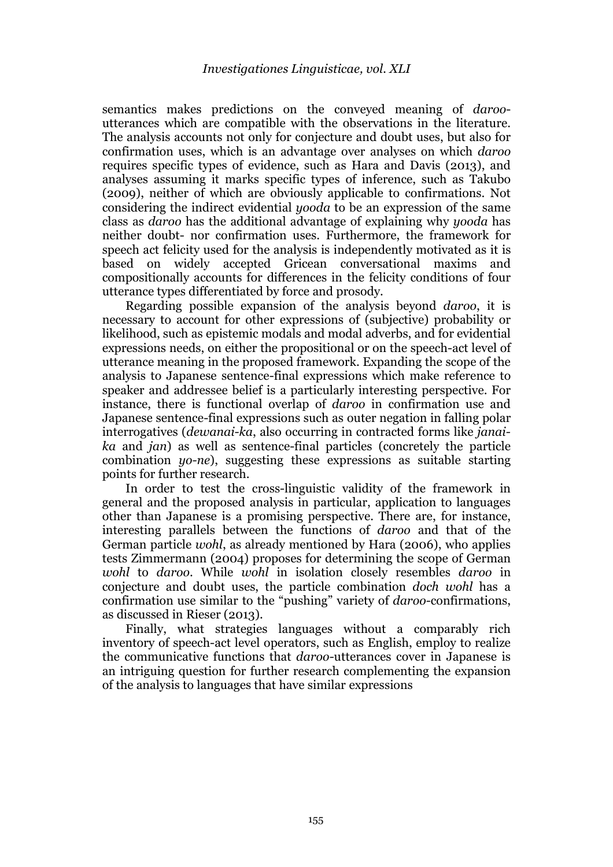semantics makes predictions on the conveyed meaning of *daroo*utterances which are compatible with the observations in the literature. The analysis accounts not only for conjecture and doubt uses, but also for confirmation uses, which is an advantage over analyses on which *daroo* requires specific types of evidence, such as Hara and Davis (2013), and analyses assuming it marks specific types of inference, such as Takubo (2009), neither of which are obviously applicable to confirmations. Not considering the indirect evidential *yooda* to be an expression of the same class as *daroo* has the additional advantage of explaining why *yooda* has neither doubt- nor confirmation uses. Furthermore, the framework for speech act felicity used for the analysis is independently motivated as it is based on widely accepted Gricean conversational maxims and compositionally accounts for differences in the felicity conditions of four utterance types differentiated by force and prosody.

Regarding possible expansion of the analysis beyond *daroo*, it is necessary to account for other expressions of (subjective) probability or likelihood, such as epistemic modals and modal adverbs, and for evidential expressions needs, on either the propositional or on the speech-act level of utterance meaning in the proposed framework. Expanding the scope of the analysis to Japanese sentence-final expressions which make reference to speaker and addressee belief is a particularly interesting perspective. For instance, there is functional overlap of *daroo* in confirmation use and Japanese sentence-final expressions such as outer negation in falling polar interrogatives (*dewanai-ka*, also occurring in contracted forms like *janaika* and *jan*) as well as sentence-final particles (concretely the particle combination *yo-ne*), suggesting these expressions as suitable starting points for further research.

In order to test the cross-linguistic validity of the framework in general and the proposed analysis in particular, application to languages other than Japanese is a promising perspective. There are, for instance, interesting parallels between the functions of *daroo* and that of the German particle *wohl*, as already mentioned by Hara (2006), who applies tests Zimmermann (2004) proposes for determining the scope of German *wohl* to *daroo*. While *wohl* in isolation closely resembles *daroo* in conjecture and doubt uses, the particle combination *doch wohl* has a confirmation use similar to the "pushing" variety of *daroo*-confirmations, as discussed in Rieser (2013).

Finally, what strategies languages without a comparably rich inventory of speech-act level operators, such as English, employ to realize the communicative functions that *daroo*-utterances cover in Japanese is an intriguing question for further research complementing the expansion of the analysis to languages that have similar expressions